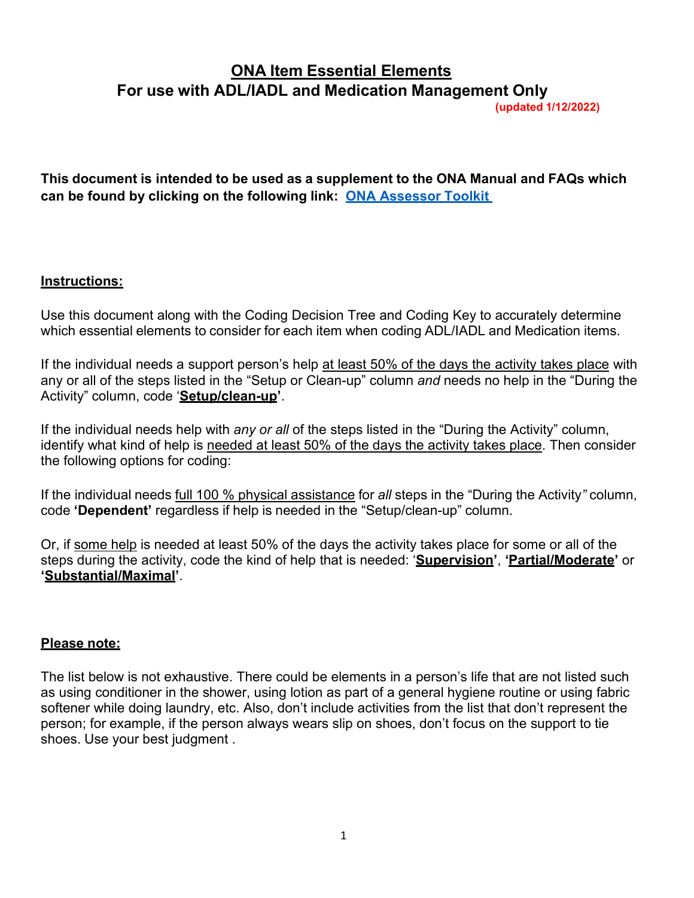**(updated 1/12/2022)**

**This document is intended to be used as a supplement to the ONA Manual and FAQs which can be found by clicking on the following link: ONA [Assessor](https://www.oregon.gov/dhs/Compass-Project/Pages/ONA-Assessor-Toolkit.aspx) Toolkit**

#### **Instructions:**

Use this document along with the Coding Decision Tree and Coding Key to accurately determine which essential elements to consider for each item when coding ADL/IADL and Medication items.

If the individual needs a support person's help at least 50% of the days the activity takes place with any or all of the steps listed in the "Setup or Clean-up" column *and* needs no help in the "During the Activity" column, code '**Setup/clean-up'**.

If the individual needs help with *any or all* of the steps listed in the "During the Activity" column, identify what kind of help is needed at least 50% of the days the activity takes place. Then consider the following options for coding:

If the individual needs full 100 % physical assistance for *all* steps in the "During the Activity*"* column, code **'Dependent'** regardless if help is needed in the "Setup/clean-up" column.

Or, if some help is needed at least 50% of the days the activity takes place for some or all of the steps during the activity, code the kind of help that is needed: '**Supervision'**, **'Partial/Moderate'** or **'Substantial/Maximal'**.

#### **Please note:**

The list below is not exhaustive. There could be elements in a person's life that are not listed such as using conditioner in the shower, using lotion as part of a general hygiene routine or using fabric softener while doing laundry, etc. Also, don't include activities from the list that don't represent the person; for example, if the person always wears slip on shoes, don't focus on the support to tie shoes. Use your best judgment .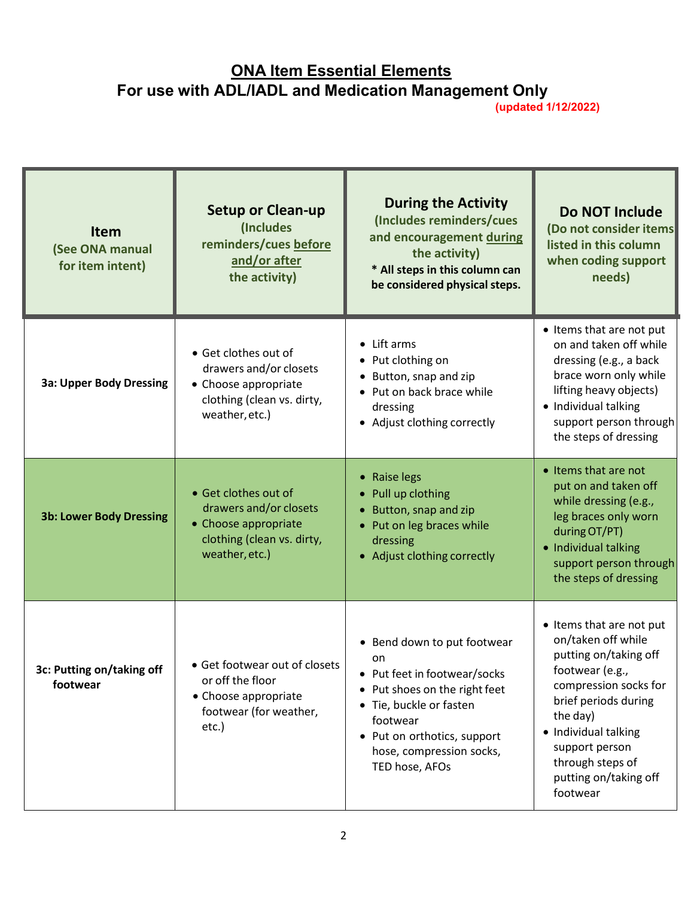#### **ONA Item Essential Elements For use with ADL/IADL and Medication Management Only (updated 1/12/2022)**

| <b>Item</b><br>(See ONA manual<br>for item intent) | <b>Setup or Clean-up</b><br>(Includes<br>reminders/cues before<br>and/or after<br>the activity)                        | <b>During the Activity</b><br>(Includes reminders/cues<br>and encouragement during<br>the activity)<br>* All steps in this column can<br>be considered physical steps.                                                 | Do NOT Include<br>(Do not consider items<br>listed in this column<br>when coding support<br>needs)                                                                                                                                                         |
|----------------------------------------------------|------------------------------------------------------------------------------------------------------------------------|------------------------------------------------------------------------------------------------------------------------------------------------------------------------------------------------------------------------|------------------------------------------------------------------------------------------------------------------------------------------------------------------------------------------------------------------------------------------------------------|
| <b>3a: Upper Body Dressing</b>                     | • Get clothes out of<br>drawers and/or closets<br>• Choose appropriate<br>clothing (clean vs. dirty,<br>weather, etc.) | • Lift arms<br>• Put clothing on<br>• Button, snap and zip<br>• Put on back brace while<br>dressing<br>• Adjust clothing correctly                                                                                     | • Items that are not put<br>on and taken off while<br>dressing (e.g., a back<br>brace worn only while<br>lifting heavy objects)<br>• Individual talking<br>support person through<br>the steps of dressing                                                 |
| <b>3b: Lower Body Dressing</b>                     | • Get clothes out of<br>drawers and/or closets<br>• Choose appropriate<br>clothing (clean vs. dirty,<br>weather, etc.) | • Raise legs<br>• Pull up clothing<br>• Button, snap and zip<br>• Put on leg braces while<br>dressing<br>• Adjust clothing correctly                                                                                   | • Items that are not<br>put on and taken off<br>while dressing (e.g.,<br>leg braces only worn<br>during OT/PT)<br>• Individual talking<br>support person through<br>the steps of dressing                                                                  |
| 3c: Putting on/taking off<br>footwear              | • Get footwear out of closets<br>or off the floor<br>• Choose appropriate<br>footwear (for weather,<br>etc.)           | • Bend down to put footwear<br>on<br>• Put feet in footwear/socks<br>• Put shoes on the right feet<br>• Tie, buckle or fasten<br>footwear<br>• Put on orthotics, support<br>hose, compression socks,<br>TED hose, AFOs | • Items that are not put<br>on/taken off while<br>putting on/taking off<br>footwear (e.g.,<br>compression socks for<br>brief periods during<br>the day)<br>• Individual talking<br>support person<br>through steps of<br>putting on/taking off<br>footwear |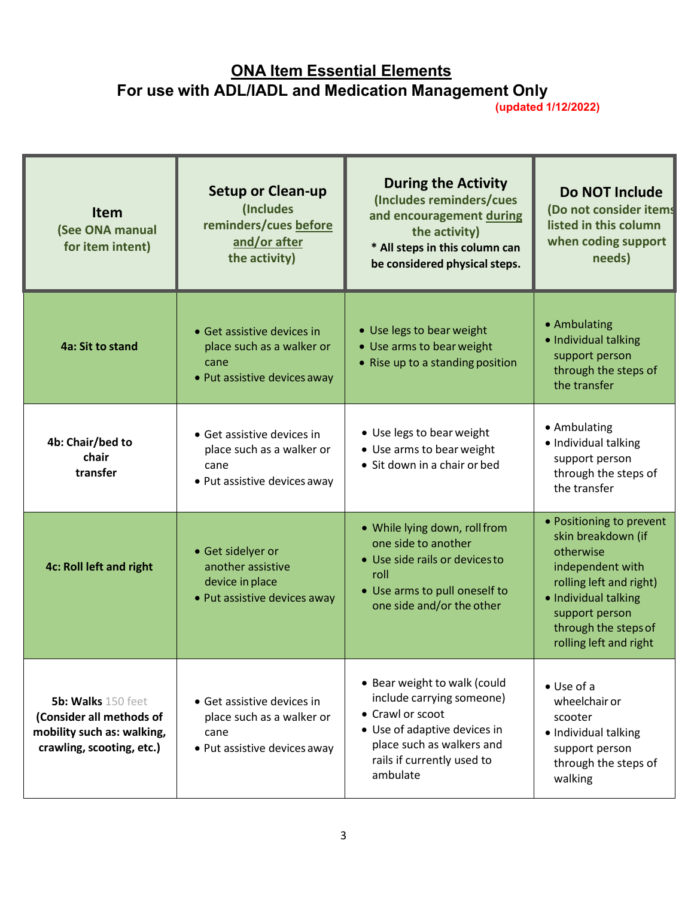#### **ONA Item Essential Elements For use with ADL/IADL and Medication Management Only (updated 1/12/2022)**

| <b>Item</b><br>(See ONA manual<br>for item intent)                                                               | <b>Setup or Clean-up</b><br>(Includes<br>reminders/cues before<br>and/or after<br>the activity) | <b>During the Activity</b><br>(Includes reminders/cues<br>and encouragement during<br>the activity)<br>* All steps in this column can<br>be considered physical steps.               | Do NOT Include<br>(Do not consider items<br>listed in this column<br>when coding support<br>needs)                                                                                                     |
|------------------------------------------------------------------------------------------------------------------|-------------------------------------------------------------------------------------------------|--------------------------------------------------------------------------------------------------------------------------------------------------------------------------------------|--------------------------------------------------------------------------------------------------------------------------------------------------------------------------------------------------------|
| 4a: Sit to stand                                                                                                 | • Get assistive devices in<br>place such as a walker or<br>cane<br>• Put assistive devices away | • Use legs to bear weight<br>• Use arms to bear weight<br>• Rise up to a standing position                                                                                           | • Ambulating<br>• Individual talking<br>support person<br>through the steps of<br>the transfer                                                                                                         |
| 4b: Chair/bed to<br>chair<br>transfer                                                                            | • Get assistive devices in<br>place such as a walker or<br>cane<br>• Put assistive devices away | • Use legs to bear weight<br>• Use arms to bear weight<br>• Sit down in a chair or bed                                                                                               | • Ambulating<br>• Individual talking<br>support person<br>through the steps of<br>the transfer                                                                                                         |
| <b>4c: Roll left and right</b>                                                                                   | • Get sidelyer or<br>another assistive<br>device in place<br>• Put assistive devices away       | • While lying down, rollfrom<br>one side to another<br>• Use side rails or devices to<br>roll<br>• Use arms to pull oneself to<br>one side and/or the other                          | • Positioning to prevent<br>skin breakdown (if<br>otherwise<br>independent with<br>rolling left and right)<br>• Individual talking<br>support person<br>through the steps of<br>rolling left and right |
| <b>5b: Walks</b> 150 feet<br>(Consider all methods of<br>mobility such as: walking,<br>crawling, scooting, etc.) | • Get assistive devices in<br>place such as a walker or<br>cane<br>• Put assistive devices away | • Bear weight to walk (could<br>include carrying someone)<br>• Crawl or scoot<br>• Use of adaptive devices in<br>place such as walkers and<br>rails if currently used to<br>ambulate | $\bullet$ Use of a<br>wheelchair or<br>scooter<br>• Individual talking<br>support person<br>through the steps of<br>walking                                                                            |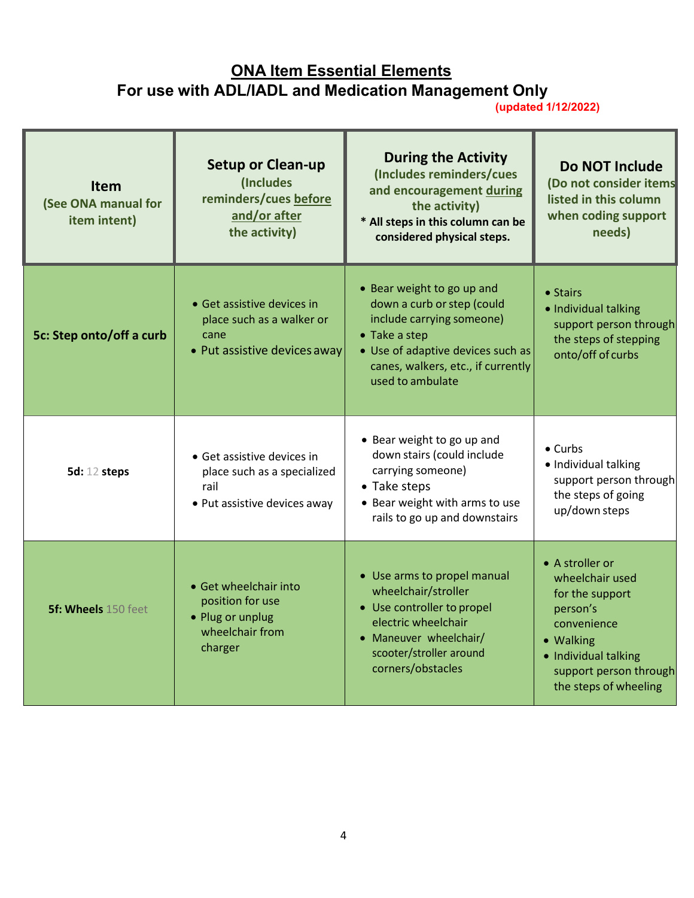| Item<br>(See ONA manual for<br>item intent) | <b>Setup or Clean-up</b><br><i>(Includes)</i><br>reminders/cues before<br>and/or after<br>the activity) | <b>During the Activity</b><br>(Includes reminders/cues<br>and encouragement during<br>the activity)<br>* All steps in this column can be<br>considered physical steps.                                | Do NOT Include<br>(Do not consider items<br>listed in this column<br>when coding support<br>needs)                                                                       |
|---------------------------------------------|---------------------------------------------------------------------------------------------------------|-------------------------------------------------------------------------------------------------------------------------------------------------------------------------------------------------------|--------------------------------------------------------------------------------------------------------------------------------------------------------------------------|
| 5c: Step onto/off a curb                    | • Get assistive devices in<br>place such as a walker or<br>cane<br>• Put assistive devices away         | • Bear weight to go up and<br>down a curb or step (could<br>include carrying someone)<br>• Take a step<br>• Use of adaptive devices such as<br>canes, walkers, etc., if currently<br>used to ambulate | $\bullet$ Stairs<br>· Individual talking<br>support person through<br>the steps of stepping<br>onto/off of curbs                                                         |
| 5d: 12 steps                                | • Get assistive devices in<br>place such as a specialized<br>rail<br>• Put assistive devices away       | • Bear weight to go up and<br>down stairs (could include<br>carrying someone)<br>• Take steps<br>• Bear weight with arms to use<br>rails to go up and downstairs                                      | $\bullet$ Curbs<br>• Individual talking<br>support person through<br>the steps of going<br>up/down steps                                                                 |
| 5f: Wheels 150 feet                         | • Get wheelchair into<br>position for use<br>• Plug or unplug<br>wheelchair from<br>charger             | • Use arms to propel manual<br>wheelchair/stroller<br>• Use controller to propel<br>electric wheelchair<br>• Maneuver wheelchair/<br>scooter/stroller around<br>corners/obstacles                     | • A stroller or<br>wheelchair used<br>for the support<br>person's<br>convenience<br>• Walking<br>• Individual talking<br>support person through<br>the steps of wheeling |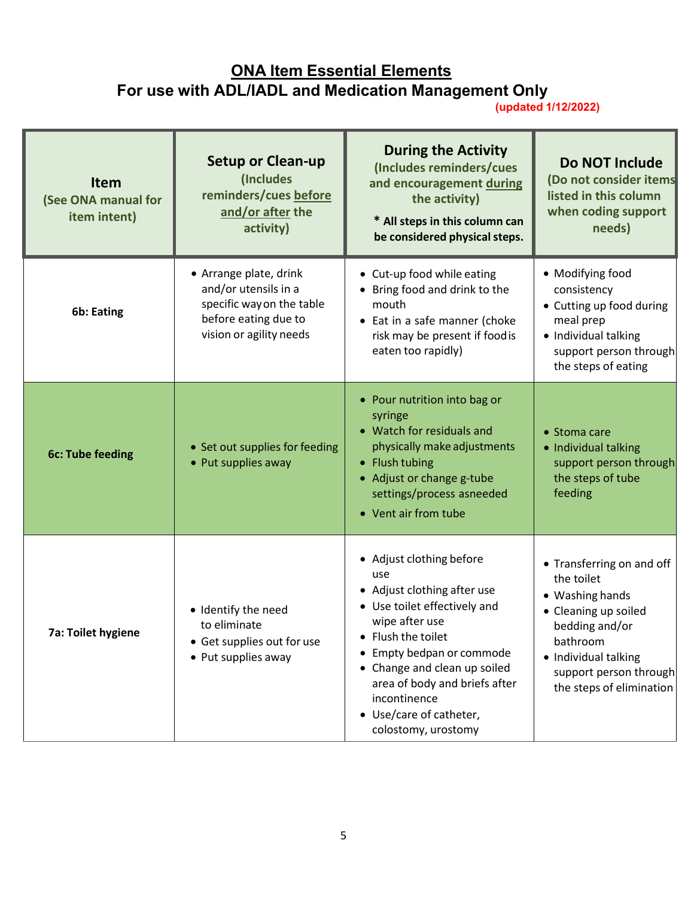| <b>Item</b><br>(See ONA manual for<br>item intent) | <b>Setup or Clean-up</b><br>(Includes<br>reminders/cues before<br>and/or after the<br>activity)                                | <b>During the Activity</b><br>(Includes reminders/cues<br>and encouragement during<br>the activity)<br>* All steps in this column can<br>be considered physical steps.                                                                                                                                 | Do NOT Include<br>(Do not consider items<br>listed in this column<br>when coding support<br>needs)                                                                                             |
|----------------------------------------------------|--------------------------------------------------------------------------------------------------------------------------------|--------------------------------------------------------------------------------------------------------------------------------------------------------------------------------------------------------------------------------------------------------------------------------------------------------|------------------------------------------------------------------------------------------------------------------------------------------------------------------------------------------------|
| 6b: Eating                                         | • Arrange plate, drink<br>and/or utensils in a<br>specific way on the table<br>before eating due to<br>vision or agility needs | • Cut-up food while eating<br>• Bring food and drink to the<br>mouth<br>• Eat in a safe manner (choke<br>risk may be present if food is<br>eaten too rapidly)                                                                                                                                          | • Modifying food<br>consistency<br>• Cutting up food during<br>meal prep<br>• Individual talking<br>support person through<br>the steps of eating                                              |
| 6c: Tube feeding                                   | • Set out supplies for feeding<br>• Put supplies away                                                                          | • Pour nutrition into bag or<br>syringe<br>• Watch for residuals and<br>physically make adjustments<br>• Flush tubing<br>• Adjust or change g-tube<br>settings/process asneeded<br>• Vent air from tube                                                                                                | • Stoma care<br>• Individual talking<br>support person through<br>the steps of tube<br>feeding                                                                                                 |
| 7a: Toilet hygiene                                 | • Identify the need<br>to eliminate<br>• Get supplies out for use<br>• Put supplies away                                       | • Adjust clothing before<br>use<br>• Adjust clothing after use<br>• Use toilet effectively and<br>wipe after use<br>• Flush the toilet<br>• Empty bedpan or commode<br>• Change and clean up soiled<br>area of body and briefs after<br>incontinence<br>• Use/care of catheter,<br>colostomy, urostomy | • Transferring on and off<br>the toilet<br>• Washing hands<br>• Cleaning up soiled<br>bedding and/or<br>bathroom<br>• Individual talking<br>support person through<br>the steps of elimination |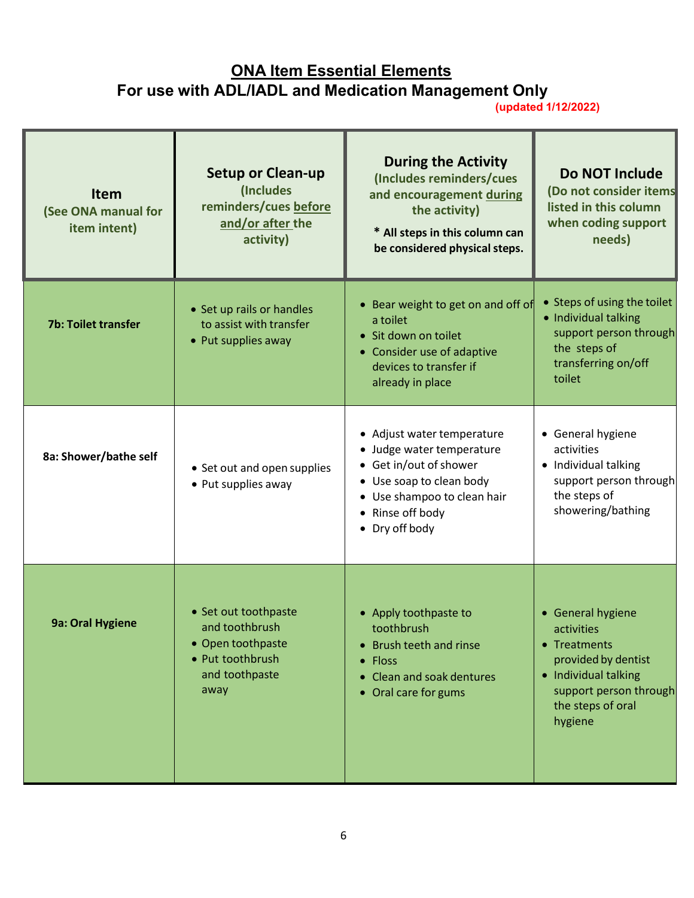| <b>Item</b><br>(See ONA manual for<br>item intent) | <b>Setup or Clean-up</b><br>(Includes<br>reminders/cues before<br>and/or after the<br>activity)           | <b>During the Activity</b><br>(Includes reminders/cues<br>and encouragement during<br>the activity)<br>* All steps in this column can<br>be considered physical steps.             | <b>Do NOT Include</b><br>(Do not consider items<br>listed in this column<br>when coding support<br>needs)                                              |
|----------------------------------------------------|-----------------------------------------------------------------------------------------------------------|------------------------------------------------------------------------------------------------------------------------------------------------------------------------------------|--------------------------------------------------------------------------------------------------------------------------------------------------------|
| <b>7b: Toilet transfer</b>                         | • Set up rails or handles<br>to assist with transfer<br>• Put supplies away                               | • Bear weight to get on and off of<br>a toilet<br>• Sit down on toilet<br>• Consider use of adaptive<br>devices to transfer if<br>already in place                                 | • Steps of using the toilet<br>• Individual talking<br>support person through<br>the steps of<br>transferring on/off<br>toilet                         |
| 8a: Shower/bathe self                              | • Set out and open supplies<br>• Put supplies away                                                        | • Adjust water temperature<br>· Judge water temperature<br>• Get in/out of shower<br>• Use soap to clean body<br>• Use shampoo to clean hair<br>• Rinse off body<br>• Dry off body | • General hygiene<br>activities<br>• Individual talking<br>support person through<br>the steps of<br>showering/bathing                                 |
| 9a: Oral Hygiene                                   | • Set out toothpaste<br>and toothbrush<br>• Open toothpaste<br>• Put toothbrush<br>and toothpaste<br>away | • Apply toothpaste to<br>toothbrush<br>• Brush teeth and rinse<br>· Floss<br>• Clean and soak dentures<br>• Oral care for gums                                                     | • General hygiene<br>activities<br>• Treatments<br>provided by dentist<br>Individual talking<br>support person through<br>the steps of oral<br>hygiene |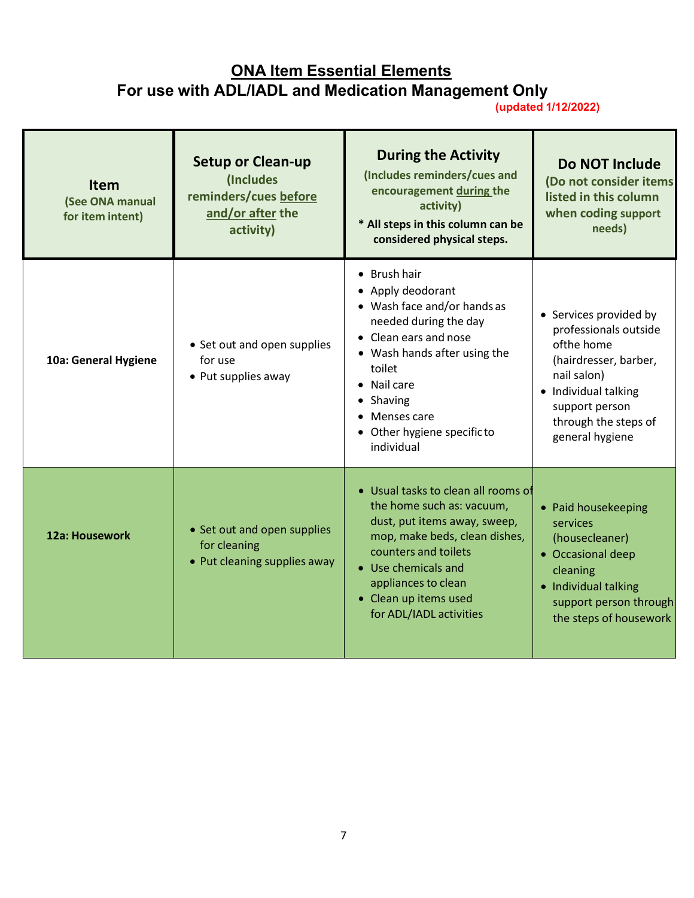| <b>Item</b><br>(See ONA manual<br>for item intent) | <b>Setup or Clean-up</b><br>(Includes<br>reminders/cues before<br>and/or after the<br>activity) | <b>During the Activity</b><br>(Includes reminders/cues and<br>encouragement during the<br>activity)<br>* All steps in this column can be<br>considered physical steps.                                                                                         | <b>Do NOT Include</b><br>(Do not consider items<br>listed in this column<br>when coding support<br>needs)                                                                                  |
|----------------------------------------------------|-------------------------------------------------------------------------------------------------|----------------------------------------------------------------------------------------------------------------------------------------------------------------------------------------------------------------------------------------------------------------|--------------------------------------------------------------------------------------------------------------------------------------------------------------------------------------------|
| 10a: General Hygiene                               | • Set out and open supplies<br>for use<br>• Put supplies away                                   | $\bullet$ Brush hair<br>• Apply deodorant<br>• Wash face and/or hands as<br>needed during the day<br>• Clean ears and nose<br>• Wash hands after using the<br>toilet<br>• Nail care<br>• Shaving<br>• Menses care<br>• Other hygiene specific to<br>individual | • Services provided by<br>professionals outside<br>ofthe home<br>(hairdresser, barber,<br>nail salon)<br>• Individual talking<br>support person<br>through the steps of<br>general hygiene |
| 12a: Housework                                     | • Set out and open supplies<br>for cleaning<br>• Put cleaning supplies away                     | • Usual tasks to clean all rooms of<br>the home such as: vacuum,<br>dust, put items away, sweep,<br>mop, make beds, clean dishes,<br>counters and toilets<br>• Use chemicals and<br>appliances to clean<br>• Clean up items used<br>for ADL/IADL activities    | • Paid housekeeping<br>services<br>(housecleaner)<br>• Occasional deep<br>cleaning<br>• Individual talking<br>support person through<br>the steps of housework                             |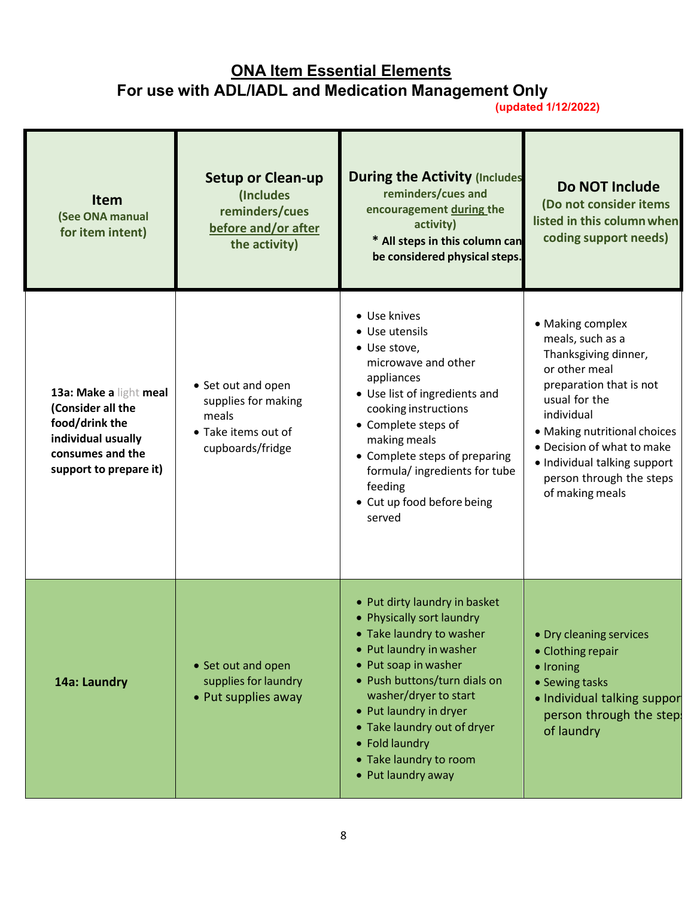| <b>Item</b><br>(See ONA manual<br>for item intent)                                                                                | <b>Setup or Clean-up</b><br>(Includes<br>reminders/cues<br>before and/or after<br>the activity) | <b>During the Activity (Includes</b><br>reminders/cues and<br>encouragement during the<br>activity)<br>* All steps in this column can<br>be considered physical steps.                                                                                                                                                        | Do NOT Include<br>(Do not consider items<br>listed in this column when<br>coding support needs)                                                                                                                                                                                      |
|-----------------------------------------------------------------------------------------------------------------------------------|-------------------------------------------------------------------------------------------------|-------------------------------------------------------------------------------------------------------------------------------------------------------------------------------------------------------------------------------------------------------------------------------------------------------------------------------|--------------------------------------------------------------------------------------------------------------------------------------------------------------------------------------------------------------------------------------------------------------------------------------|
| 13a: Make a light meal<br>(Consider all the<br>food/drink the<br>individual usually<br>consumes and the<br>support to prepare it) | • Set out and open<br>supplies for making<br>meals<br>• Take items out of<br>cupboards/fridge   | • Use knives<br>• Use utensils<br>· Use stove,<br>microwave and other<br>appliances<br>• Use list of ingredients and<br>cooking instructions<br>• Complete steps of<br>making meals<br>• Complete steps of preparing<br>formula/ingredients for tube<br>feeding<br>• Cut up food before being<br>served                       | • Making complex<br>meals, such as a<br>Thanksgiving dinner,<br>or other meal<br>preparation that is not<br>usual for the<br>individual<br>• Making nutritional choices<br>• Decision of what to make<br>• Individual talking support<br>person through the steps<br>of making meals |
| 14a: Laundry                                                                                                                      | • Set out and open<br>supplies for laundry<br>• Put supplies away                               | • Put dirty laundry in basket<br>• Physically sort laundry<br>• Take laundry to washer<br>• Put laundry in washer<br>• Put soap in washer<br>• Push buttons/turn dials on<br>washer/dryer to start<br>• Put laundry in dryer<br>• Take laundry out of dryer<br>• Fold laundry<br>• Take laundry to room<br>• Put laundry away | • Dry cleaning services<br>• Clothing repair<br>• Ironing<br>• Sewing tasks<br>• Individual talking suppor<br>person through the step.<br>of laundry                                                                                                                                 |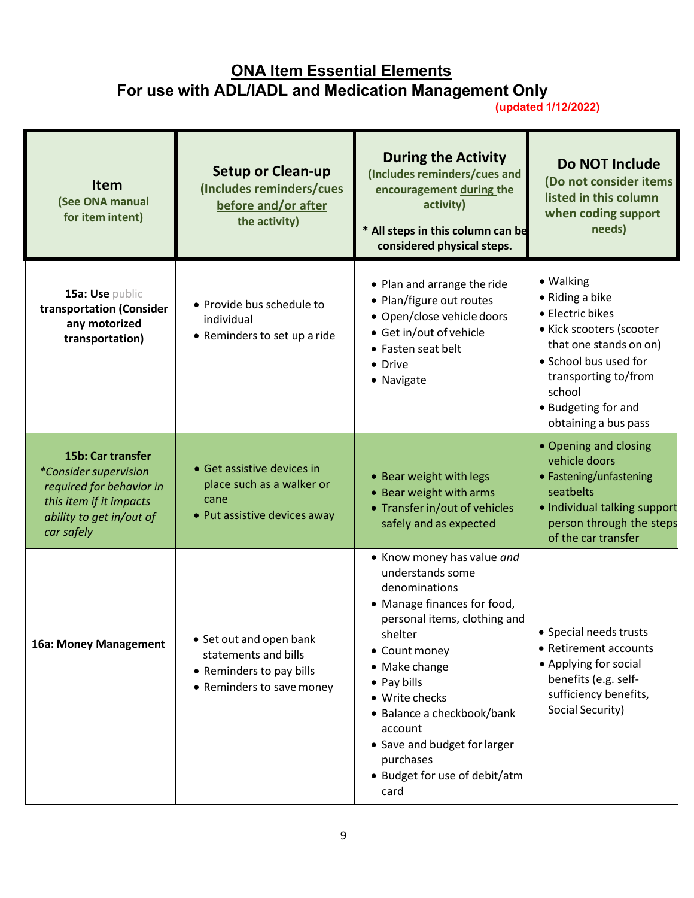## **ONA Item Essential Elements**

#### **For use with ADL/IADL and Medication Management Only**

| <b>Item</b><br>(See ONA manual<br>for item intent)                                                                                                 | <b>Setup or Clean-up</b><br>(Includes reminders/cues<br>before and/or after<br>the activity)             | <b>During the Activity</b><br>(Includes reminders/cues and<br>encouragement during the<br>activity)<br>* All steps in this column can be<br>considered physical steps.                                                                                                                                                                      | Do NOT Include<br>(Do not consider items<br>listed in this column<br>when coding support<br>needs)                                                                                                               |
|----------------------------------------------------------------------------------------------------------------------------------------------------|----------------------------------------------------------------------------------------------------------|---------------------------------------------------------------------------------------------------------------------------------------------------------------------------------------------------------------------------------------------------------------------------------------------------------------------------------------------|------------------------------------------------------------------------------------------------------------------------------------------------------------------------------------------------------------------|
| 15a: Use public<br>transportation (Consider<br>any motorized<br>transportation)                                                                    | • Provide bus schedule to<br>individual<br>• Reminders to set up a ride                                  | • Plan and arrange the ride<br>• Plan/figure out routes<br>• Open/close vehicle doors<br>• Get in/out of vehicle<br>• Fasten seat belt<br>• Drive<br>• Navigate                                                                                                                                                                             | • Walking<br>• Riding a bike<br>• Electric bikes<br>· Kick scooters (scooter<br>that one stands on on)<br>· School bus used for<br>transporting to/from<br>school<br>• Budgeting for and<br>obtaining a bus pass |
| 15b: Car transfer<br><i>*Consider supervision</i><br>required for behavior in<br>this item if it impacts<br>ability to get in/out of<br>car safely | • Get assistive devices in<br>place such as a walker or<br>cane<br>• Put assistive devices away          | • Bear weight with legs<br>• Bear weight with arms<br>• Transfer in/out of vehicles<br>safely and as expected                                                                                                                                                                                                                               | • Opening and closing<br>vehicle doors<br>• Fastening/unfastening<br>seatbelts<br>• Individual talking support<br>person through the steps<br>of the car transfer                                                |
| 16a: Money Management                                                                                                                              | • Set out and open bank<br>statements and bills<br>• Reminders to pay bills<br>• Reminders to save money | • Know money has value and<br>understands some<br>denominations<br>• Manage finances for food,<br>personal items, clothing and<br>shelter<br>• Count money<br>• Make change<br>• Pay bills<br>• Write checks<br>• Balance a checkbook/bank<br>account<br>• Save and budget for larger<br>purchases<br>• Budget for use of debit/atm<br>card | • Special needs trusts<br>• Retirement accounts<br>• Applying for social<br>benefits (e.g. self-<br>sufficiency benefits,<br>Social Security)                                                                    |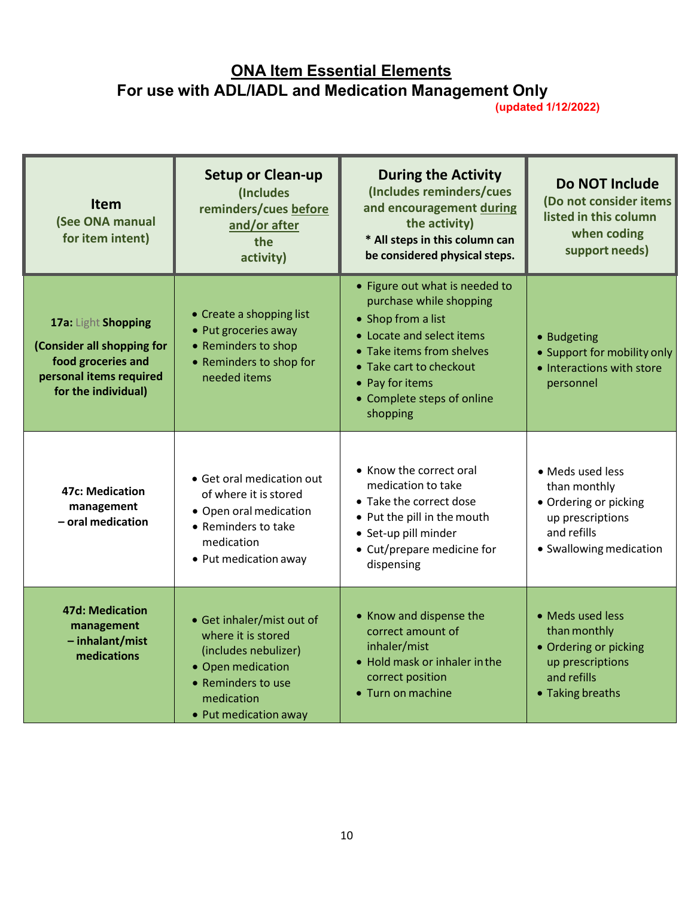| <b>Item</b><br>(See ONA manual<br>for item intent)                                                                        | <b>Setup or Clean-up</b><br>(Includes<br>reminders/cues before<br>and/or after<br>the<br>activity)                                                        | <b>During the Activity</b><br>(Includes reminders/cues<br>and encouragement during<br>the activity)<br>* All steps in this column can<br>be considered physical steps.                                                            | <b>Do NOT Include</b><br>(Do not consider items<br>listed in this column<br>when coding<br>support needs)               |
|---------------------------------------------------------------------------------------------------------------------------|-----------------------------------------------------------------------------------------------------------------------------------------------------------|-----------------------------------------------------------------------------------------------------------------------------------------------------------------------------------------------------------------------------------|-------------------------------------------------------------------------------------------------------------------------|
| 17a: Light Shopping<br>(Consider all shopping for<br>food groceries and<br>personal items required<br>for the individual) | • Create a shopping list<br>• Put groceries away<br>• Reminders to shop<br>• Reminders to shop for<br>needed items                                        | • Figure out what is needed to<br>purchase while shopping<br>• Shop from a list<br>• Locate and select items<br>• Take items from shelves<br>• Take cart to checkout<br>• Pay for items<br>• Complete steps of online<br>shopping | • Budgeting<br>• Support for mobility only<br>• Interactions with store<br>personnel                                    |
| <b>47c: Medication</b><br>management<br>- oral medication                                                                 | • Get oral medication out<br>of where it is stored<br>• Open oral medication<br>• Reminders to take<br>medication<br>• Put medication away                | • Know the correct oral<br>medication to take<br>• Take the correct dose<br>• Put the pill in the mouth<br>· Set-up pill minder<br>• Cut/prepare medicine for<br>dispensing                                                       | • Meds used less<br>than monthly<br>• Ordering or picking<br>up prescriptions<br>and refills<br>• Swallowing medication |
| <b>47d: Medication</b><br>management<br>$-$ inhalant/mist<br>medications                                                  | • Get inhaler/mist out of<br>where it is stored<br>(includes nebulizer)<br>• Open medication<br>• Reminders to use<br>medication<br>• Put medication away | • Know and dispense the<br>correct amount of<br>inhaler/mist<br>• Hold mask or inhaler in the<br>correct position<br>• Turn on machine                                                                                            | • Meds used less<br>than monthly<br>• Ordering or picking<br>up prescriptions<br>and refills<br>• Taking breaths        |